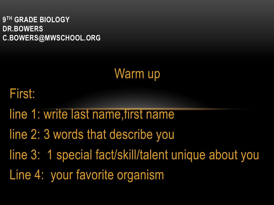**9TH GRADE BIOLOGY DR.BOWERS C.BOWERS@MWSCHOOL.ORG**

### Warm up

### First:

- line 1: write last name,first name
- line 2: 3 words that describe you
- line 3: 1 special fact/skill/talent unique about you
- Line 4: your favorite organism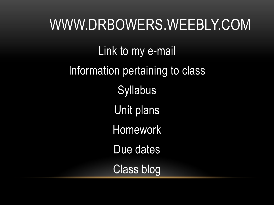WWW.DRBOWERS.WEEBLY.COM Link to my e-mail Information pertaining to class **Syllabus** Unit plans Homework Due dates Class blog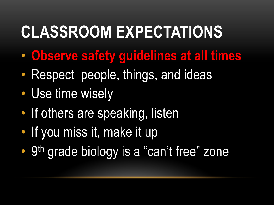# **CLASSROOM EXPECTATIONS**

- **Observe safety guidelines at all times**
- Respect people, things, and ideas
- Use time wisely
- If others are speaking, listen
- If you miss it, make it up
- 9<sup>th</sup> grade biology is a "can't free" zone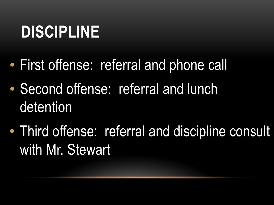# **DISCIPLINE**

- First offense: referral and phone call
- Second offense: referral and lunch detention
- Third offense: referral and discipline consult with Mr. Stewart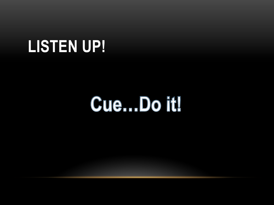### **LISTEN UP!**

# Cue...Do it!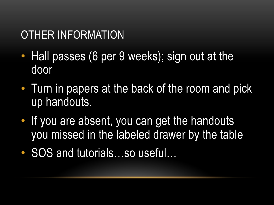### OTHER INFORMATION

- Hall passes (6 per 9 weeks); sign out at the door
- Turn in papers at the back of the room and pick up handouts.
- If you are absent, you can get the handouts you missed in the labeled drawer by the table
- SOS and tutorials...so useful...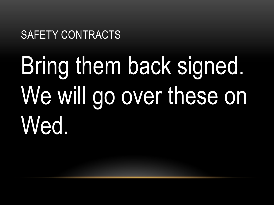#### SAFETY CONTRACTS

# Bring them back signed. We will go over these on Wed.